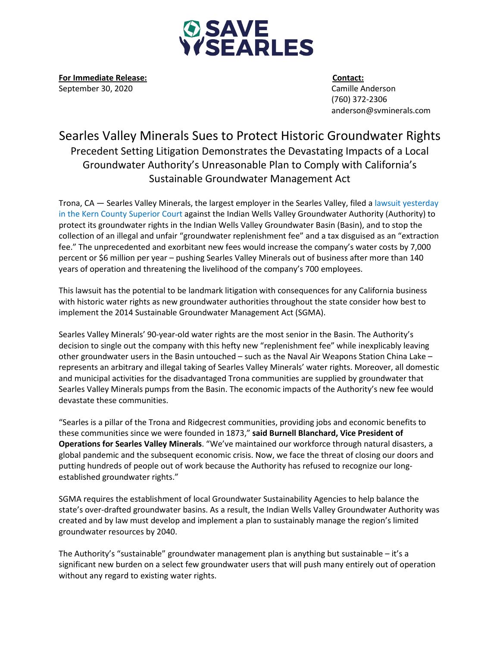

**For Immediate Release: Contact:** September 30, 2020 Camille Anderson

 (760) 372-2306 anderson@svminerals.com

## Searles Valley Minerals Sues to Protect Historic Groundwater Rights Precedent Setting Litigation Demonstrates the Devastating Impacts of a Local Groundwater Authority's Unreasonable Plan to Comply with California's Sustainable Groundwater Management Act

Trona, CA — Searles Valley Minerals, the largest employer in the Searles Valley, filed a lawsuit [yesterday](https://www.dropbox.com/s/jo5b8dcj0g2ewa3/adv.%20Indian%20Wells%20Valley%20Groundwater%20Authority%20-%20Petition%20for%20Writ%20of%20Mandate%20-%2009-29-20.PDF?dl=0) in the Kern County [Superior](https://www.dropbox.com/s/jo5b8dcj0g2ewa3/adv.%20Indian%20Wells%20Valley%20Groundwater%20Authority%20-%20Petition%20for%20Writ%20of%20Mandate%20-%2009-29-20.PDF?dl=0) Court against the Indian Wells Valley Groundwater Authority (Authority) to protect its groundwater rights in the Indian Wells Valley Groundwater Basin (Basin), and to stop the collection of an illegal and unfair "groundwater replenishment fee" and a tax disguised as an "extraction fee." The unprecedented and exorbitant new fees would increase the company's water costs by 7,000 percent or \$6 million per year – pushing Searles Valley Minerals out of business after more than 140 years of operation and threatening the livelihood of the company's 700 employees.

This lawsuit has the potential to be landmark litigation with consequences for any California business with historic water rights as new groundwater authorities throughout the state consider how best to implement the 2014 Sustainable Groundwater Management Act (SGMA).

Searles Valley Minerals' 90-year-old water rights are the most senior in the Basin. The Authority's decision to single out the company with this hefty new "replenishment fee" while inexplicably leaving other groundwater users in the Basin untouched – such as the Naval Air Weapons Station China Lake – represents an arbitrary and illegal taking of Searles Valley Minerals' water rights. Moreover, all domestic and municipal activities for the disadvantaged Trona communities are supplied by groundwater that Searles Valley Minerals pumps from the Basin. The economic impacts of the Authority's new fee would devastate these communities.

"Searles is a pillar of the Trona and Ridgecrest communities, providing jobs and economic benefits to these communities since we were founded in 1873," **said Burnell Blanchard, Vice President of Operations for Searles Valley Minerals**. "We've maintained our workforce through natural disasters, a global pandemic and the subsequent economic crisis. Now, we face the threat of closing our doors and putting hundreds of people out of work because the Authority has refused to recognize our longestablished groundwater rights."

SGMA requires the establishment of local Groundwater Sustainability Agencies to help balance the state's over-drafted groundwater basins. As a result, the Indian Wells Valley Groundwater Authority was created and by law must develop and implement a plan to sustainably manage the region's limited groundwater resources by 2040.

The Authority's "sustainable" groundwater management plan is anything but sustainable – it's a significant new burden on a select few groundwater users that will push many entirely out of operation without any regard to existing water rights.